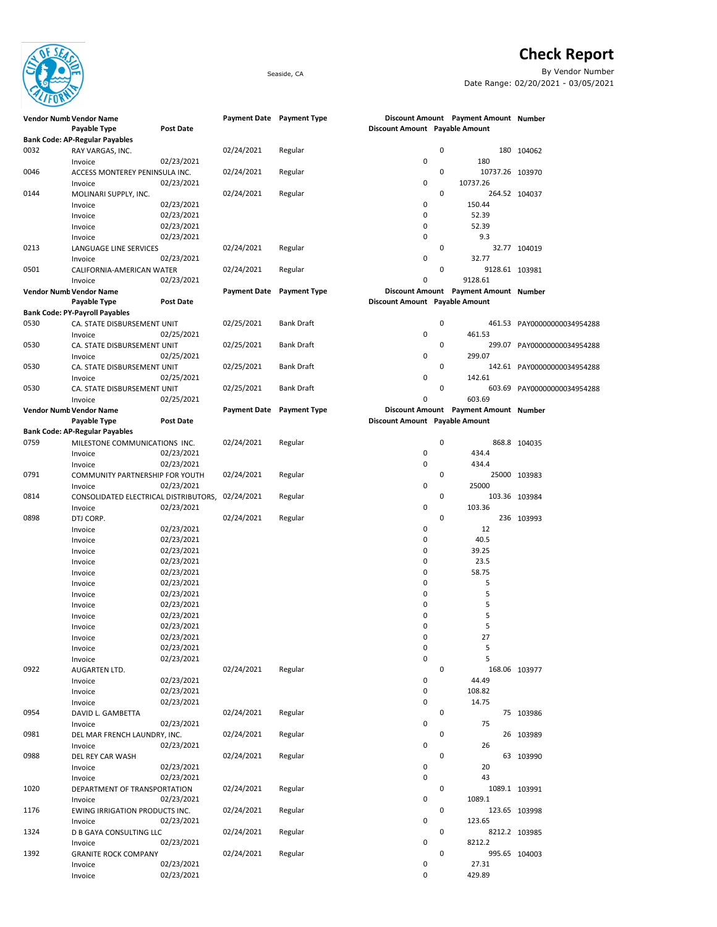## Check Report

Seaside, CA By Vendor Number Date Range: 02/20/2021 - 03/05/2021

| easide |
|--------|
|--------|

|      | <b>Vendor Numb Vendor Name</b>        |                  |                     | Payment Date Payment Type |                                | Discount Amount Payment Amount Number |                             |
|------|---------------------------------------|------------------|---------------------|---------------------------|--------------------------------|---------------------------------------|-----------------------------|
|      | Payable Type                          | <b>Post Date</b> |                     |                           | Discount Amount Payable Amount |                                       |                             |
|      | <b>Bank Code: AP-Regular Payables</b> |                  |                     |                           |                                |                                       |                             |
| 0032 | RAY VARGAS, INC.                      |                  | 02/24/2021          | Regular                   | 0                              |                                       | 180 104062                  |
|      | Invoice                               | 02/23/2021       |                     |                           | 0                              | 180                                   |                             |
| 0046 | ACCESS MONTEREY PENINSULA INC.        |                  | 02/24/2021          | Regular                   | 0                              | 10737.26 103970                       |                             |
|      | Invoice                               | 02/23/2021       |                     |                           | 0<br>0                         | 10737.26                              |                             |
| 0144 | MOLINARI SUPPLY, INC.                 |                  | 02/24/2021          | Regular                   |                                | 150.44                                | 264.52 104037               |
|      | Invoice                               | 02/23/2021       |                     |                           | 0<br>0                         |                                       |                             |
|      | Invoice                               | 02/23/2021       |                     |                           | 0                              | 52.39<br>52.39                        |                             |
|      | Invoice                               | 02/23/2021       |                     |                           | 0                              | 9.3                                   |                             |
| 0213 | Invoice                               | 02/23/2021       |                     | Regular                   | 0                              |                                       | 32.77 104019                |
|      | LANGUAGE LINE SERVICES                | 02/23/2021       | 02/24/2021          |                           | 0                              | 32.77                                 |                             |
| 0501 | Invoice                               |                  | 02/24/2021          |                           | 0                              |                                       |                             |
|      | CALIFORNIA-AMERICAN WATER<br>Invoice  | 02/23/2021       |                     | Regular                   | 0                              | 9128.61 103981<br>9128.61             |                             |
|      | Vendor Numb Vendor Name               |                  | <b>Payment Date</b> | <b>Payment Type</b>       |                                | Discount Amount Payment Amount Number |                             |
|      | Payable Type                          | <b>Post Date</b> |                     |                           | Discount Amount Payable Amount |                                       |                             |
|      | <b>Bank Code: PY-Payroll Payables</b> |                  |                     |                           |                                |                                       |                             |
| 0530 | CA. STATE DISBURSEMENT UNIT           |                  | 02/25/2021          | <b>Bank Draft</b>         | 0                              |                                       | 461.53 PAY00000000034954288 |
|      | Invoice                               | 02/25/2021       |                     |                           | 0                              | 461.53                                |                             |
| 0530 | CA. STATE DISBURSEMENT UNIT           |                  | 02/25/2021          | <b>Bank Draft</b>         | 0                              |                                       | 299.07 PAY00000000034954288 |
|      | Invoice                               | 02/25/2021       |                     |                           | 0                              | 299.07                                |                             |
| 0530 | CA. STATE DISBURSEMENT UNIT           |                  | 02/25/2021          | <b>Bank Draft</b>         | 0                              |                                       | 142.61 PAY00000000034954288 |
|      | Invoice                               | 02/25/2021       |                     |                           | 0                              | 142.61                                |                             |
| 0530 | CA. STATE DISBURSEMENT UNIT           |                  | 02/25/2021          | Bank Draft                | 0                              |                                       | 603.69 PAY00000000034954288 |
|      | Invoice                               | 02/25/2021       |                     |                           | 0                              | 603.69                                |                             |
|      | <b>Vendor Numb Vendor Name</b>        |                  | <b>Payment Date</b> | <b>Payment Type</b>       |                                | Discount Amount Payment Amount Number |                             |
|      | Payable Type                          | <b>Post Date</b> |                     |                           | Discount Amount Payable Amount |                                       |                             |
|      | <b>Bank Code: AP-Regular Payables</b> |                  |                     |                           |                                |                                       |                             |
| 0759 | MILESTONE COMMUNICATIONS INC.         |                  | 02/24/2021          | Regular                   | 0                              |                                       | 868.8 104035                |
|      | Invoice                               | 02/23/2021       |                     |                           | 0                              | 434.4                                 |                             |
|      | Invoice                               | 02/23/2021       |                     |                           | 0                              | 434.4                                 |                             |
| 0791 | COMMUNITY PARTNERSHIP FOR YOUTH       |                  | 02/24/2021          | Regular                   | 0                              |                                       | 25000 103983                |
|      | Invoice                               | 02/23/2021       |                     |                           | 0                              | 25000                                 |                             |
| 0814 | CONSOLIDATED ELECTRICAL DISTRIBUTORS, |                  | 02/24/2021          | Regular                   | 0                              |                                       | 103.36 103984               |
|      | Invoice                               | 02/23/2021       |                     |                           | 0                              | 103.36                                |                             |
| 0898 | DTJ CORP.                             |                  | 02/24/2021          | Regular                   | 0                              |                                       | 236 103993                  |
|      | Invoice                               | 02/23/2021       |                     |                           | 0                              | 12                                    |                             |
|      | Invoice                               | 02/23/2021       |                     |                           | 0                              | 40.5                                  |                             |
|      | Invoice                               | 02/23/2021       |                     |                           | 0                              | 39.25                                 |                             |
|      | Invoice                               | 02/23/2021       |                     |                           | 0                              | 23.5                                  |                             |
|      | Invoice                               | 02/23/2021       |                     |                           | 0                              | 58.75                                 |                             |
|      | Invoice                               | 02/23/2021       |                     |                           | 0                              | 5                                     |                             |
|      | Invoice                               | 02/23/2021       |                     |                           | 0                              | 5                                     |                             |
|      | Invoice                               | 02/23/2021       |                     |                           | 0                              | 5                                     |                             |
|      | Invoice                               | 02/23/2021       |                     |                           | 0                              | 5                                     |                             |
|      | Invoice                               | 02/23/2021       |                     |                           | 0                              | 5                                     |                             |
|      | Invoice                               | 02/23/2021       |                     |                           | 0                              | 27                                    |                             |
|      | Invoice                               | 02/23/2021       |                     |                           | 0                              | 5                                     |                             |
|      | Invoice                               | 02/23/2021       |                     |                           | 0                              | 5                                     |                             |
| 0922 | AUGARTEN LTD.                         |                  | 02/24/2021          | Regular                   | 0                              |                                       | 168.06 103977               |
|      | Invoice                               | 02/23/2021       |                     |                           | 0                              | 44.49                                 |                             |
|      | Invoice                               | 02/23/2021       |                     |                           | 0                              | 108.82                                |                             |
|      | Invoice                               | 02/23/2021       |                     |                           | 0                              | 14.75                                 |                             |
| 0954 | DAVID L. GAMBETTA                     |                  | 02/24/2021          | Regular                   | 0                              |                                       | 75 103986                   |
|      | Invoice                               | 02/23/2021       |                     |                           | 0                              | 75                                    |                             |
| 0981 | DEL MAR FRENCH LAUNDRY, INC.          |                  | 02/24/2021          | Regular                   | 0                              |                                       | 26 103989                   |
|      | Invoice                               | 02/23/2021       |                     |                           | 0                              | 26                                    |                             |
| 0988 | DEL REY CAR WASH                      |                  | 02/24/2021          | Regular                   | 0                              |                                       | 63 103990                   |
|      | Invoice                               | 02/23/2021       |                     |                           | 0                              | 20                                    |                             |
|      | Invoice                               | 02/23/2021       |                     |                           | 0                              | 43                                    |                             |
| 1020 | DEPARTMENT OF TRANSPORTATION          |                  | 02/24/2021          | Regular                   | 0                              |                                       | 1089.1 103991               |
|      | Invoice                               | 02/23/2021       |                     |                           | 0                              | 1089.1                                |                             |
| 1176 | EWING IRRIGATION PRODUCTS INC.        |                  | 02/24/2021          | Regular                   | 0                              |                                       | 123.65 103998               |
|      | Invoice                               | 02/23/2021       |                     |                           | 0                              | 123.65                                |                             |
| 1324 | D B GAYA CONSULTING LLC               |                  | 02/24/2021          | Regular                   | 0                              |                                       | 8212.2 103985               |
|      | Invoice                               | 02/23/2021       |                     |                           | 0                              | 8212.2                                |                             |
| 1392 | <b>GRANITE ROCK COMPANY</b>           |                  | 02/24/2021          | Regular                   | 0                              |                                       | 995.65 104003               |
|      | Invoice                               | 02/23/2021       |                     |                           | 0                              | 27.31                                 |                             |
|      | Invoice                               | 02/23/2021       |                     |                           | 0                              | 429.89                                |                             |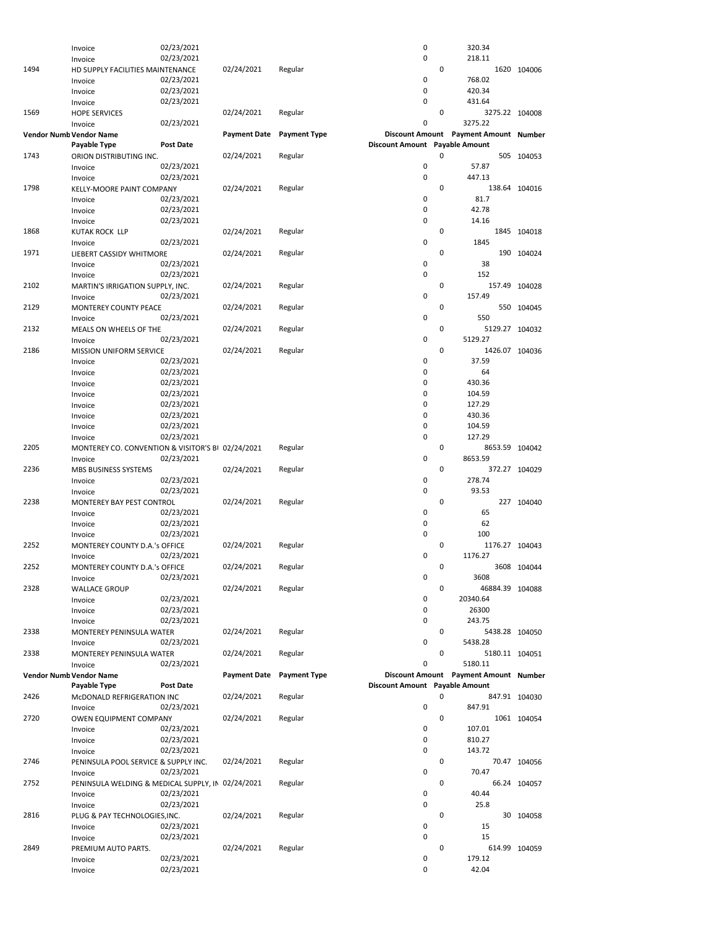|      | Invoice                                           | 02/23/2021               |                     |                     | 0                              |             | 320.34                                |               |
|------|---------------------------------------------------|--------------------------|---------------------|---------------------|--------------------------------|-------------|---------------------------------------|---------------|
|      | Invoice                                           | 02/23/2021               |                     |                     | 0                              |             | 218.11                                |               |
| 1494 | HD SUPPLY FACILITIES MAINTENANCE                  |                          | 02/24/2021          | Regular             |                                | 0           |                                       | 1620 104006   |
|      | Invoice                                           | 02/23/2021               |                     |                     | 0                              |             | 768.02                                |               |
|      |                                                   |                          |                     |                     |                                |             |                                       |               |
|      | Invoice                                           | 02/23/2021               |                     |                     | $\mathsf 0$                    |             | 420.34                                |               |
|      | Invoice                                           | 02/23/2021               |                     |                     | 0                              |             | 431.64                                |               |
| 1569 | <b>HOPE SERVICES</b>                              |                          | 02/24/2021          | Regular             |                                | 0           | 3275.22 104008                        |               |
|      | Invoice                                           | 02/23/2021               |                     |                     | 0                              |             | 3275.22                               |               |
|      |                                                   |                          |                     |                     |                                |             | Discount Amount Payment Amount Number |               |
|      | Vendor Numb Vendor Name                           |                          | <b>Payment Date</b> | <b>Payment Type</b> |                                |             |                                       |               |
|      | Payable Type                                      | Post Date                |                     |                     | Discount Amount Payable Amount |             |                                       |               |
| 1743 | ORION DISTRIBUTING INC.                           |                          | 02/24/2021          | Regular             |                                | 0           |                                       | 505 104053    |
|      | Invoice                                           | 02/23/2021               |                     |                     | 0                              |             | 57.87                                 |               |
|      | Invoice                                           | 02/23/2021               |                     |                     | 0                              |             | 447.13                                |               |
| 1798 |                                                   |                          |                     |                     |                                | 0           |                                       |               |
|      | KELLY-MOORE PAINT COMPANY                         |                          | 02/24/2021          | Regular             |                                |             |                                       | 138.64 104016 |
|      | Invoice                                           | 02/23/2021               |                     |                     | 0                              |             | 81.7                                  |               |
|      | Invoice                                           | 02/23/2021               |                     |                     | 0                              |             | 42.78                                 |               |
|      | Invoice                                           | 02/23/2021               |                     |                     | 0                              |             | 14.16                                 |               |
| 1868 | KUTAK ROCK LLP                                    |                          | 02/24/2021          | Regular             |                                | 0           |                                       | 1845 104018   |
|      |                                                   |                          |                     |                     | $\mathbf 0$                    |             | 1845                                  |               |
|      | Invoice                                           | 02/23/2021               |                     |                     |                                |             |                                       |               |
| 1971 | LIEBERT CASSIDY WHITMORE                          |                          | 02/24/2021          | Regular             |                                | 0           |                                       | 190 104024    |
|      | Invoice                                           | 02/23/2021               |                     |                     | 0                              |             | 38                                    |               |
|      | Invoice                                           | 02/23/2021               |                     |                     | $\mathbf 0$                    |             | 152                                   |               |
| 2102 | MARTIN'S IRRIGATION SUPPLY, INC.                  |                          | 02/24/2021          | Regular             |                                | 0           |                                       | 157.49 104028 |
|      |                                                   | 02/23/2021               |                     |                     | $\mathbf 0$                    |             | 157.49                                |               |
|      | Invoice                                           |                          |                     |                     |                                |             |                                       |               |
| 2129 | MONTEREY COUNTY PEACE                             |                          | 02/24/2021          | Regular             |                                | 0           |                                       | 550 104045    |
|      | Invoice                                           | 02/23/2021               |                     |                     | 0                              |             | 550                                   |               |
| 2132 | MEALS ON WHEELS OF THE                            |                          | 02/24/2021          | Regular             |                                | 0           | 5129.27 104032                        |               |
|      | Invoice                                           | 02/23/2021               |                     |                     | $\mathsf 0$                    |             | 5129.27                               |               |
|      |                                                   |                          |                     |                     |                                |             |                                       |               |
| 2186 | <b>MISSION UNIFORM SERVICE</b>                    |                          | 02/24/2021          | Regular             |                                | 0           | 1426.07 104036                        |               |
|      | Invoice                                           | 02/23/2021               |                     |                     | 0                              |             | 37.59                                 |               |
|      | Invoice                                           | 02/23/2021               |                     |                     | 0                              |             | 64                                    |               |
|      | Invoice                                           | 02/23/2021               |                     |                     | 0                              |             | 430.36                                |               |
|      | Invoice                                           | 02/23/2021               |                     |                     | 0                              |             | 104.59                                |               |
|      |                                                   |                          |                     |                     |                                |             |                                       |               |
|      | Invoice                                           | 02/23/2021               |                     |                     | 0                              |             | 127.29                                |               |
|      | Invoice                                           | 02/23/2021               |                     |                     | 0                              |             | 430.36                                |               |
|      | Invoice                                           | 02/23/2021               |                     |                     | 0                              |             | 104.59                                |               |
|      | Invoice                                           | 02/23/2021               |                     |                     | 0                              |             | 127.29                                |               |
| 2205 | MONTEREY CO. CONVENTION & VISITOR'S BI 02/24/2021 |                          |                     | Regular             |                                | 0           | 8653.59 104042                        |               |
|      |                                                   |                          |                     |                     |                                |             |                                       |               |
|      |                                                   |                          |                     |                     |                                |             |                                       |               |
|      | Invoice                                           | 02/23/2021               |                     |                     | 0                              |             | 8653.59                               |               |
| 2236 | MBS BUSINESS SYSTEMS                              |                          | 02/24/2021          | Regular             |                                | 0           |                                       | 372.27 104029 |
|      | Invoice                                           | 02/23/2021               |                     |                     | 0                              |             | 278.74                                |               |
|      |                                                   |                          |                     |                     |                                |             |                                       |               |
|      | Invoice                                           | 02/23/2021               |                     |                     | $\mathbf 0$                    |             | 93.53                                 |               |
| 2238 | MONTEREY BAY PEST CONTROL                         |                          | 02/24/2021          | Regular             |                                | 0           |                                       | 227 104040    |
|      | Invoice                                           | 02/23/2021               |                     |                     | 0                              |             | 65                                    |               |
|      | Invoice                                           | 02/23/2021               |                     |                     | 0                              |             | 62                                    |               |
|      | Invoice                                           | 02/23/2021               |                     |                     | 0                              |             | 100                                   |               |
|      |                                                   |                          |                     |                     |                                |             |                                       |               |
| 2252 | MONTEREY COUNTY D.A.'s OFFICE                     |                          | 02/24/2021          | Regular             |                                | 0           | 1176.27 104043                        |               |
|      | Invoice                                           | 02/23/2021               |                     |                     | 0                              |             | 1176.27                               |               |
| 2252 | MONTEREY COUNTY D.A.'s OFFICE                     |                          | 02/24/2021          | Regular             |                                | 0           |                                       | 3608 104044   |
|      | Invoice                                           | 02/23/2021               |                     |                     | $\mathsf 0$                    |             | 3608                                  |               |
| 2328 |                                                   |                          |                     |                     |                                | $\mathbf 0$ |                                       |               |
|      | <b>WALLACE GROUP</b>                              |                          | 02/24/2021          | Regular             |                                |             | 46884.39 104088                       |               |
|      | Invoice                                           | 02/23/2021               |                     |                     | 0                              |             | 20340.64                              |               |
|      | Invoice                                           | 02/23/2021               |                     |                     | 0                              |             | 26300                                 |               |
|      | Invoice                                           | 02/23/2021               |                     |                     | 0                              |             | 243.75                                |               |
| 2338 | MONTEREY PENINSULA WATER                          |                          | 02/24/2021          | Regular             |                                | 0           | 5438.28 104050                        |               |
|      |                                                   |                          |                     |                     | 0                              |             | 5438.28                               |               |
|      | Invoice                                           | 02/23/2021               |                     |                     |                                |             |                                       |               |
| 2338 | MONTEREY PENINSULA WATER                          |                          | 02/24/2021          | Regular             |                                | 0           | 5180.11 104051                        |               |
|      | Invoice                                           | 02/23/2021               |                     |                     | 0                              |             | 5180.11                               |               |
|      | Vendor Numb Vendor Name                           |                          | <b>Payment Date</b> | <b>Payment Type</b> |                                |             | Discount Amount Payment Amount Number |               |
|      | Payable Type                                      | Post Date                |                     |                     | Discount Amount Payable Amount |             |                                       |               |
| 2426 |                                                   |                          |                     |                     |                                | 0           |                                       |               |
|      | McDONALD REFRIGERATION INC                        |                          | 02/24/2021          | Regular             |                                |             |                                       | 847.91 104030 |
|      | Invoice                                           | 02/23/2021               |                     |                     | 0                              |             | 847.91                                |               |
| 2720 | OWEN EQUIPMENT COMPANY                            |                          | 02/24/2021          | Regular             |                                | 0           |                                       | 1061 104054   |
|      | Invoice                                           | 02/23/2021               |                     |                     | 0                              |             | 107.01                                |               |
|      | Invoice                                           | 02/23/2021               |                     |                     | 0                              |             | 810.27                                |               |
|      | Invoice                                           | 02/23/2021               |                     |                     | 0                              |             | 143.72                                |               |
|      |                                                   |                          |                     |                     |                                |             |                                       |               |
| 2746 | PENINSULA POOL SERVICE & SUPPLY INC.              |                          | 02/24/2021          | Regular             |                                | 0           |                                       | 70.47 104056  |
|      | Invoice                                           | 02/23/2021               |                     |                     | 0                              |             | 70.47                                 |               |
| 2752 | PENINSULA WELDING & MEDICAL SUPPLY, IN 02/24/2021 |                          |                     | Regular             |                                | 0           |                                       | 66.24 104057  |
|      | Invoice                                           | 02/23/2021               |                     |                     | 0                              |             | 40.44                                 |               |
|      |                                                   |                          |                     |                     | 0                              |             | 25.8                                  |               |
|      | Invoice                                           | 02/23/2021               |                     |                     |                                |             |                                       |               |
| 2816 | PLUG & PAY TECHNOLOGIES, INC.                     |                          | 02/24/2021          | Regular             |                                | 0           |                                       | 30 104058     |
|      | Invoice                                           | 02/23/2021               |                     |                     | $\mathsf 0$                    |             | 15                                    |               |
|      | Invoice                                           | 02/23/2021               |                     |                     | 0                              |             | 15                                    |               |
| 2849 | PREMIUM AUTO PARTS.                               |                          | 02/24/2021          | Regular             |                                | 0           |                                       | 614.99 104059 |
|      |                                                   |                          |                     |                     |                                |             |                                       |               |
|      | Invoice<br>Invoice                                | 02/23/2021<br>02/23/2021 |                     |                     | 0<br>0                         |             | 179.12<br>42.04                       |               |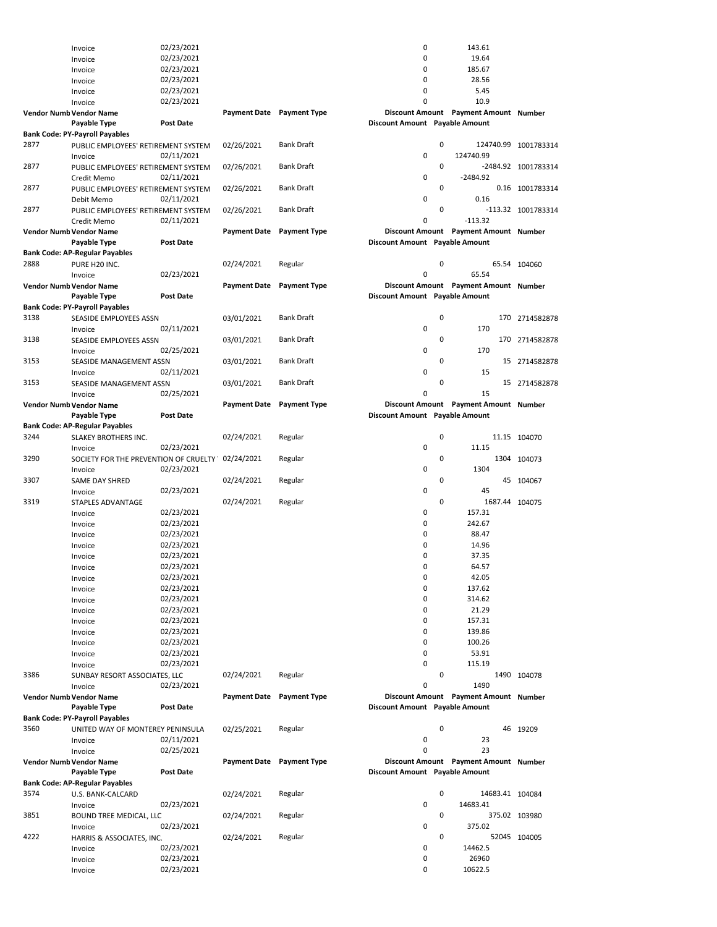|      | Invoice                                        | 02/23/2021               |                           |                     | 0                              |   | 143.61                                |                      |
|------|------------------------------------------------|--------------------------|---------------------------|---------------------|--------------------------------|---|---------------------------------------|----------------------|
|      | Invoice                                        | 02/23/2021               |                           |                     | 0                              |   | 19.64                                 |                      |
|      | Invoice                                        | 02/23/2021               |                           |                     | 0                              |   | 185.67                                |                      |
|      | Invoice                                        | 02/23/2021               |                           |                     | 0                              |   | 28.56                                 |                      |
|      | Invoice                                        | 02/23/2021               |                           |                     | 0                              |   | 5.45                                  |                      |
|      | Invoice                                        | 02/23/2021               |                           |                     | 0                              |   | 10.9                                  |                      |
|      | Vendor Numb Vendor Name                        |                          | <b>Payment Date</b>       | <b>Payment Type</b> |                                |   | Discount Amount Payment Amount Number |                      |
|      | Payable Type                                   | Post Date                |                           |                     | Discount Amount Payable Amount |   |                                       |                      |
|      | <b>Bank Code: PY-Payroll Payables</b>          |                          |                           |                     |                                |   |                                       |                      |
| 2877 | PUBLIC EMPLOYEES' RETIREMENT SYSTEM            |                          | 02/26/2021                | <b>Bank Draft</b>   | 0                              | 0 | 124740.99                             | 124740.99 1001783314 |
| 2877 | Invoice<br>PUBLIC EMPLOYEES' RETIREMENT SYSTEM | 02/11/2021               | 02/26/2021                | <b>Bank Draft</b>   |                                | 0 |                                       | -2484.92 1001783314  |
|      | Credit Memo                                    | 02/11/2021               |                           |                     | 0                              |   | $-2484.92$                            |                      |
| 2877 | PUBLIC EMPLOYEES' RETIREMENT SYSTEM            |                          | 02/26/2021                | <b>Bank Draft</b>   |                                | 0 |                                       | 0.16 1001783314      |
|      | Debit Memo                                     | 02/11/2021               |                           |                     | 0                              |   | 0.16                                  |                      |
| 2877 | PUBLIC EMPLOYEES' RETIREMENT SYSTEM            |                          | 02/26/2021                | <b>Bank Draft</b>   |                                | 0 |                                       | -113.32 1001783314   |
|      | Credit Memo                                    | 02/11/2021               |                           |                     | 0                              |   | $-113.32$                             |                      |
|      | Vendor Numb Vendor Name                        |                          | <b>Payment Date</b>       | <b>Payment Type</b> |                                |   | Discount Amount Payment Amount Number |                      |
|      | Payable Type                                   | <b>Post Date</b>         |                           |                     | Discount Amount Payable Amount |   |                                       |                      |
|      | Bank Code: AP-Regular Payables                 |                          |                           |                     |                                |   |                                       |                      |
| 2888 | PURE H20 INC.                                  |                          | 02/24/2021                | Regular             |                                | 0 |                                       | 65.54 104060         |
|      | Invoice                                        | 02/23/2021               |                           |                     | 0                              |   | 65.54                                 |                      |
|      | Vendor Numb Vendor Name                        |                          | <b>Payment Date</b>       | <b>Payment Type</b> |                                |   | Discount Amount Payment Amount Number |                      |
|      | Payable Type                                   | <b>Post Date</b>         |                           |                     | Discount Amount Payable Amount |   |                                       |                      |
|      | <b>Bank Code: PY-Payroll Payables</b>          |                          |                           |                     |                                |   |                                       |                      |
| 3138 | SEASIDE EMPLOYEES ASSN                         |                          | 03/01/2021                | <b>Bank Draft</b>   |                                | 0 |                                       | 170 2714582878       |
|      | Invoice                                        | 02/11/2021               |                           |                     | 0                              |   | 170                                   |                      |
| 3138 | SEASIDE EMPLOYEES ASSN                         |                          | 03/01/2021                | <b>Bank Draft</b>   |                                | 0 |                                       | 170 2714582878       |
|      | Invoice                                        | 02/25/2021               |                           |                     | 0                              |   | 170                                   |                      |
| 3153 | SEASIDE MANAGEMENT ASSN                        |                          | 03/01/2021                | <b>Bank Draft</b>   | 0                              | 0 | 15                                    | 15 2714582878        |
| 3153 | Invoice                                        | 02/11/2021               |                           | <b>Bank Draft</b>   |                                | 0 |                                       |                      |
|      | SEASIDE MANAGEMENT ASSN<br>Invoice             | 02/25/2021               | 03/01/2021                |                     | 0                              |   | 15                                    | 15 2714582878        |
|      | Vendor Numb Vendor Name                        |                          | <b>Payment Date</b>       | <b>Payment Type</b> |                                |   | Discount Amount Payment Amount Number |                      |
|      | Payable Type                                   | Post Date                |                           |                     | Discount Amount Payable Amount |   |                                       |                      |
|      | <b>Bank Code: AP-Regular Payables</b>          |                          |                           |                     |                                |   |                                       |                      |
| 3244 | SLAKEY BROTHERS INC.                           |                          | 02/24/2021                | Regular             |                                | 0 |                                       | 11.15 104070         |
|      | Invoice                                        | 02/23/2021               |                           |                     | 0                              |   | 11.15                                 |                      |
| 3290 | SOCIETY FOR THE PREVENTION OF CRUELTY '        |                          | 02/24/2021                | Regular             |                                | 0 |                                       | 1304 104073          |
|      | Invoice                                        | 02/23/2021               |                           |                     | 0                              |   | 1304                                  |                      |
| 3307 | <b>SAME DAY SHRED</b>                          |                          | 02/24/2021                | Regular             |                                | 0 |                                       | 45 104067            |
|      | Invoice                                        | 02/23/2021               |                           |                     | 0                              |   | 45                                    |                      |
| 3319 | <b>STAPLES ADVANTAGE</b>                       |                          | 02/24/2021                | Regular             |                                | 0 | 1687.44 104075                        |                      |
|      | Invoice                                        | 02/23/2021               |                           |                     | 0                              |   | 157.31                                |                      |
|      | Invoice                                        | 02/23/2021               |                           |                     | 0                              |   | 242.67                                |                      |
|      | Invoice                                        | 02/23/2021               |                           |                     | 0                              |   | 88.47                                 |                      |
|      | Invoice                                        | 02/23/2021               |                           |                     | 0                              |   | 14.96                                 |                      |
|      | Invoice                                        | 02/23/2021               |                           |                     | $\Omega$                       |   | 37.35                                 |                      |
|      | Invoice                                        | 02/23/2021               |                           |                     | 0                              |   | 64.57                                 |                      |
|      | Invoice                                        | 02/23/2021               |                           |                     | 0                              |   | 42.05                                 |                      |
|      | Invoice                                        | 02/23/2021               |                           |                     | 0                              |   | 137.62                                |                      |
|      | Invoice                                        | 02/23/2021               |                           |                     | 0                              |   | 314.62                                |                      |
|      | Invoice                                        | 02/23/2021               |                           |                     | 0                              |   | 21.29                                 |                      |
|      | Invoice                                        | 02/23/2021               |                           |                     | 0                              |   | 157.31                                |                      |
|      | Invoice                                        | 02/23/2021               |                           |                     | 0<br>0                         |   | 139.86<br>100.26                      |                      |
|      | Invoice                                        | 02/23/2021<br>02/23/2021 |                           |                     | 0                              |   | 53.91                                 |                      |
|      | Invoice<br>Invoice                             | 02/23/2021               |                           |                     | 0                              |   | 115.19                                |                      |
| 3386 | SUNBAY RESORT ASSOCIATES, LLC                  |                          | 02/24/2021                | Regular             |                                | 0 |                                       | 1490 104078          |
|      | Invoice                                        | 02/23/2021               |                           |                     | 0                              |   | 1490                                  |                      |
|      | Vendor Numb Vendor Name                        |                          | <b>Payment Date</b>       | <b>Payment Type</b> |                                |   | Discount Amount Payment Amount Number |                      |
|      | Payable Type                                   | <b>Post Date</b>         |                           |                     | Discount Amount Payable Amount |   |                                       |                      |
|      | <b>Bank Code: PY-Payroll Payables</b>          |                          |                           |                     |                                |   |                                       |                      |
| 3560 | UNITED WAY OF MONTEREY PENINSULA               |                          | 02/25/2021                | Regular             |                                | 0 |                                       | 46 19209             |
|      | Invoice                                        | 02/11/2021               |                           |                     | 0                              |   | 23                                    |                      |
|      | Invoice                                        | 02/25/2021               |                           |                     | 0                              |   | 23                                    |                      |
|      | Vendor Numb Vendor Name                        |                          | Payment Date Payment Type |                     |                                |   | Discount Amount Payment Amount Number |                      |
|      | Payable Type                                   | <b>Post Date</b>         |                           |                     | Discount Amount Payable Amount |   |                                       |                      |
|      | Bank Code: AP-Regular Payables                 |                          |                           |                     |                                |   |                                       |                      |
| 3574 | U.S. BANK-CALCARD                              |                          | 02/24/2021                | Regular             |                                | 0 | 14683.41 104084                       |                      |
|      | Invoice                                        | 02/23/2021               |                           |                     | 0                              |   | 14683.41                              |                      |
| 3851 | BOUND TREE MEDICAL, LLC                        |                          | 02/24/2021                | Regular             |                                | 0 |                                       | 375.02 103980        |
|      | Invoice                                        | 02/23/2021               |                           |                     | 0                              |   | 375.02                                |                      |
| 4222 | HARRIS & ASSOCIATES, INC.                      |                          | 02/24/2021                | Regular             |                                | 0 |                                       | 52045 104005         |
|      | Invoice                                        | 02/23/2021               |                           |                     | 0                              |   | 14462.5                               |                      |
|      | Invoice                                        | 02/23/2021               |                           |                     | 0                              |   | 26960                                 |                      |
|      | Invoice                                        | 02/23/2021               |                           |                     | 0                              |   | 10622.5                               |                      |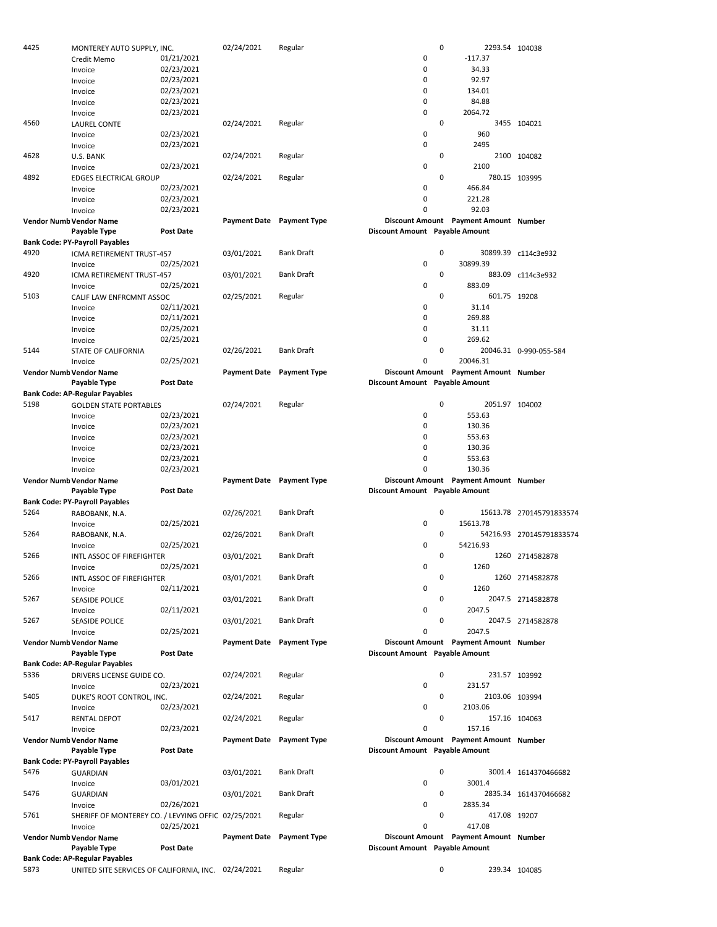| 4425 | MONTEREY AUTO SUPPLY, INC.                          |                  | 02/24/2021                | Regular             |                                | 0<br>2293.54 104038                   |                          |
|------|-----------------------------------------------------|------------------|---------------------------|---------------------|--------------------------------|---------------------------------------|--------------------------|
|      | Credit Memo                                         | 01/21/2021       |                           |                     | 0                              | $-117.37$                             |                          |
|      | Invoice                                             | 02/23/2021       |                           |                     | 0                              | 34.33                                 |                          |
|      | Invoice                                             | 02/23/2021       |                           |                     | 0                              | 92.97                                 |                          |
|      | Invoice                                             | 02/23/2021       |                           |                     | 0                              | 134.01                                |                          |
|      | Invoice                                             | 02/23/2021       |                           |                     | 0                              | 84.88                                 |                          |
|      | Invoice                                             | 02/23/2021       |                           |                     | 0                              | 2064.72                               |                          |
| 4560 | <b>LAUREL CONTE</b>                                 |                  | 02/24/2021                | Regular             |                                | 0                                     | 3455 104021              |
|      | Invoice                                             | 02/23/2021       |                           |                     | 0                              | 960                                   |                          |
|      | Invoice                                             | 02/23/2021       |                           |                     | 0                              | 2495                                  |                          |
| 4628 | U.S. BANK                                           |                  | 02/24/2021                | Regular             |                                | 0                                     | 2100 104082              |
|      | Invoice                                             | 02/23/2021       |                           |                     | 0                              | 2100                                  |                          |
| 4892 |                                                     |                  |                           | Regular             |                                | 0                                     | 780.15 103995            |
|      | <b>EDGES ELECTRICAL GROUP</b>                       | 02/23/2021       | 02/24/2021                |                     | 0                              | 466.84                                |                          |
|      | Invoice                                             |                  |                           |                     | 0                              | 221.28                                |                          |
|      | Invoice                                             | 02/23/2021       |                           |                     | 0                              | 92.03                                 |                          |
|      | Invoice                                             | 02/23/2021       |                           |                     |                                |                                       |                          |
|      | Vendor Numb Vendor Name                             |                  | Payment Date Payment Type |                     |                                | Discount Amount Payment Amount Number |                          |
|      | Payable Type                                        | <b>Post Date</b> |                           |                     | Discount Amount Payable Amount |                                       |                          |
|      | <b>Bank Code: PY-Payroll Payables</b>               |                  |                           |                     |                                |                                       |                          |
| 4920 | ICMA RETIREMENT TRUST-457                           |                  | 03/01/2021                | <b>Bank Draft</b>   |                                | 0                                     | 30899.39 c114c3e932      |
|      | Invoice                                             | 02/25/2021       |                           |                     | 0                              | 30899.39                              |                          |
| 4920 | ICMA RETIREMENT TRUST-457                           |                  | 03/01/2021                | <b>Bank Draft</b>   |                                | 0                                     | 883.09 c114c3e932        |
|      | Invoice                                             | 02/25/2021       |                           |                     | 0                              | 883.09                                |                          |
| 5103 | CALIF LAW ENFRCMNT ASSOC                            |                  | 02/25/2021                | Regular             |                                | 0<br>601.75 19208                     |                          |
|      | Invoice                                             | 02/11/2021       |                           |                     | 0                              | 31.14                                 |                          |
|      | Invoice                                             | 02/11/2021       |                           |                     | 0                              | 269.88                                |                          |
|      | Invoice                                             | 02/25/2021       |                           |                     | 0                              | 31.11                                 |                          |
|      | Invoice                                             | 02/25/2021       |                           |                     | 0                              | 269.62                                |                          |
| 5144 | STATE OF CALIFORNIA                                 |                  | 02/26/2021                | <b>Bank Draft</b>   |                                | 0                                     | 20046.31 0-990-055-584   |
|      | Invoice                                             | 02/25/2021       |                           |                     | 0                              | 20046.31                              |                          |
|      | Vendor Numb Vendor Name                             |                  | Payment Date Payment Type |                     |                                | Discount Amount Payment Amount Number |                          |
|      | Payable Type                                        | <b>Post Date</b> |                           |                     | Discount Amount Payable Amount |                                       |                          |
|      | <b>Bank Code: AP-Regular Payables</b>               |                  |                           |                     |                                |                                       |                          |
| 5198 | <b>GOLDEN STATE PORTABLES</b>                       |                  | 02/24/2021                | Regular             |                                | 0<br>2051.97 104002                   |                          |
|      | Invoice                                             | 02/23/2021       |                           |                     | 0                              | 553.63                                |                          |
|      | Invoice                                             | 02/23/2021       |                           |                     | 0                              | 130.36                                |                          |
|      | Invoice                                             | 02/23/2021       |                           |                     | 0                              | 553.63                                |                          |
|      | Invoice                                             | 02/23/2021       |                           |                     | 0                              | 130.36                                |                          |
|      | Invoice                                             | 02/23/2021       |                           |                     | 0                              | 553.63                                |                          |
|      | Invoice                                             | 02/23/2021       |                           |                     | 0                              | 130.36                                |                          |
|      | Vendor Numb Vendor Name                             |                  | Payment Date Payment Type |                     |                                | Discount Amount Payment Amount Number |                          |
|      | Payable Type                                        | <b>Post Date</b> |                           |                     | Discount Amount Payable Amount |                                       |                          |
|      | <b>Bank Code: PY-Payroll Payables</b>               |                  |                           |                     |                                |                                       |                          |
| 5264 | RABOBANK, N.A.                                      |                  | 02/26/2021                | <b>Bank Draft</b>   |                                | 0                                     | 15613.78 270145791833574 |
|      | Invoice                                             | 02/25/2021       |                           |                     | 0                              | 15613.78                              |                          |
| 5264 | RABOBANK, N.A.                                      |                  | 02/26/2021                | <b>Bank Draft</b>   |                                | 0                                     | 54216.93 270145791833574 |
|      | Invoice                                             | 02/25/2021       |                           |                     | 0                              | 54216.93                              |                          |
| 5266 | INTL ASSOC OF FIREFIGHTER                           |                  | 03/01/2021                | <b>Bank Draft</b>   |                                | 0                                     | 1260 2714582878          |
|      | Invoice                                             | 02/25/2021       |                           |                     | 0                              | 1260                                  |                          |
| 5266 | INTL ASSOC OF FIREFIGHTER                           |                  | 03/01/2021                | <b>Bank Draft</b>   |                                | 0                                     | 1260 2714582878          |
|      | Invoice                                             | 02/11/2021       |                           |                     | 0                              | 1260                                  |                          |
| 5267 | <b>SEASIDE POLICE</b>                               |                  | 03/01/2021                | <b>Bank Draft</b>   |                                | 0                                     | 2047.5 2714582878        |
|      | Invoice                                             | 02/11/2021       |                           |                     | 0                              | 2047.5                                |                          |
| 5267 | <b>SEASIDE POLICE</b>                               |                  | 03/01/2021                | <b>Bank Draft</b>   |                                | 0                                     | 2047.5 2714582878        |
|      | Invoice                                             | 02/25/2021       |                           |                     | 0                              | 2047.5                                |                          |
|      | Vendor Numb Vendor Name                             |                  | <b>Payment Date</b>       | <b>Payment Type</b> |                                | Discount Amount Payment Amount Number |                          |
|      | Payable Type                                        | Post Date        |                           |                     | Discount Amount Payable Amount |                                       |                          |
|      | <b>Bank Code: AP-Regular Payables</b>               |                  |                           |                     |                                |                                       |                          |
| 5336 | DRIVERS LICENSE GUIDE CO.                           |                  | 02/24/2021                | Regular             |                                | 0                                     | 231.57 103992            |
|      | Invoice                                             | 02/23/2021       |                           |                     | 0                              | 231.57                                |                          |
| 5405 | DUKE'S ROOT CONTROL, INC.                           |                  | 02/24/2021                | Regular             |                                | 0<br>2103.06 103994                   |                          |
|      | Invoice                                             | 02/23/2021       |                           |                     | 0                              | 2103.06                               |                          |
| 5417 | <b>RENTAL DEPOT</b>                                 |                  | 02/24/2021                | Regular             |                                | 0                                     | 157.16 104063            |
|      | Invoice                                             | 02/23/2021       |                           |                     | 0                              | 157.16                                |                          |
|      | Vendor Numb Vendor Name                             |                  | <b>Payment Date</b>       | <b>Payment Type</b> |                                | Discount Amount Payment Amount Number |                          |
|      | Payable Type                                        | Post Date        |                           |                     | Discount Amount Payable Amount |                                       |                          |
|      | <b>Bank Code: PY-Payroll Payables</b>               |                  |                           |                     |                                |                                       |                          |
| 5476 | <b>GUARDIAN</b>                                     |                  | 03/01/2021                | <b>Bank Draft</b>   |                                | 0                                     | 3001.4 1614370466682     |
|      | Invoice                                             | 03/01/2021       |                           |                     | 0                              | 3001.4                                |                          |
| 5476 | <b>GUARDIAN</b>                                     |                  | 03/01/2021                | <b>Bank Draft</b>   |                                | 0                                     | 2835.34 1614370466682    |
|      | Invoice                                             | 02/26/2021       |                           |                     | 0                              | 2835.34                               |                          |
| 5761 | SHERIFF OF MONTEREY CO. / LEVYING OFFIC 02/25/2021  |                  |                           | Regular             |                                | 0<br>417.08 19207                     |                          |
|      | Invoice                                             | 02/25/2021       |                           |                     | 0                              | 417.08                                |                          |
|      | Vendor Numb Vendor Name                             |                  | <b>Payment Date</b>       | <b>Payment Type</b> |                                | Discount Amount Payment Amount Number |                          |
|      | Payable Type                                        | Post Date        |                           |                     | Discount Amount Payable Amount |                                       |                          |
|      | <b>Bank Code: AP-Regular Payables</b>               |                  |                           |                     |                                |                                       |                          |
| 5873 | UNITED SITE SERVICES OF CALIFORNIA, INC. 02/24/2021 |                  |                           | Regular             |                                | 0                                     | 239.34 104085            |
|      |                                                     |                  |                           |                     |                                |                                       |                          |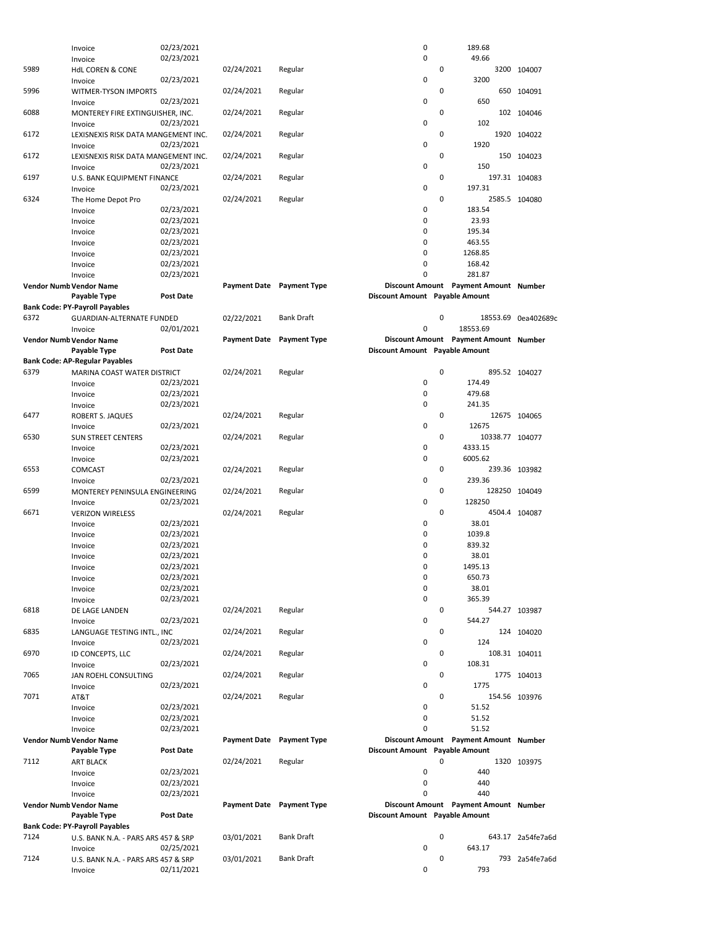|      | Invoice                               | 02/23/2021 |                     |                           | 0                              |   | 189.68                                |                     |
|------|---------------------------------------|------------|---------------------|---------------------------|--------------------------------|---|---------------------------------------|---------------------|
|      | Invoice                               | 02/23/2021 |                     |                           | 0                              |   | 49.66                                 |                     |
| 5989 | <b>HdL COREN &amp; CONE</b>           |            | 02/24/2021          | Regular                   |                                | 0 | 3200                                  | 104007              |
|      | Invoice                               | 02/23/2021 |                     |                           | 0                              |   | 3200                                  |                     |
| 5996 | WITMER-TYSON IMPORTS                  |            | 02/24/2021          | Regular                   |                                | 0 |                                       | 650 104091          |
|      | Invoice                               | 02/23/2021 |                     |                           | 0                              |   | 650                                   |                     |
| 6088 | MONTEREY FIRE EXTINGUISHER, INC.      |            | 02/24/2021          | Regular                   |                                | 0 |                                       | 102 104046          |
|      | Invoice                               | 02/23/2021 |                     |                           | 0                              |   | 102                                   |                     |
| 6172 | LEXISNEXIS RISK DATA MANGEMENT INC.   |            | 02/24/2021          | Regular                   |                                | 0 |                                       | 1920 104022         |
|      | Invoice                               | 02/23/2021 |                     |                           | 0                              |   | 1920                                  |                     |
| 6172 | LEXISNEXIS RISK DATA MANGEMENT INC.   |            | 02/24/2021          | Regular                   |                                | 0 |                                       | 150 104023          |
|      | Invoice                               | 02/23/2021 |                     |                           | 0                              |   | 150                                   |                     |
| 6197 | U.S. BANK EQUIPMENT FINANCE           |            | 02/24/2021          | Regular                   |                                | 0 |                                       | 197.31 104083       |
|      | Invoice                               | 02/23/2021 |                     |                           | 0                              |   | 197.31                                |                     |
| 6324 | The Home Depot Pro                    |            | 02/24/2021          | Regular                   |                                | 0 |                                       | 2585.5 104080       |
|      | Invoice                               | 02/23/2021 |                     |                           | 0                              |   | 183.54                                |                     |
|      | Invoice                               | 02/23/2021 |                     |                           | 0                              |   | 23.93                                 |                     |
|      | Invoice                               | 02/23/2021 |                     |                           | 0                              |   | 195.34                                |                     |
|      | Invoice                               | 02/23/2021 |                     |                           | 0                              |   | 463.55                                |                     |
|      |                                       | 02/23/2021 |                     |                           | 0                              |   | 1268.85                               |                     |
|      | Invoice                               |            |                     |                           | 0                              |   |                                       |                     |
|      | Invoice                               | 02/23/2021 |                     |                           |                                |   | 168.42                                |                     |
|      | Invoice                               | 02/23/2021 |                     |                           | 0                              |   | 281.87                                |                     |
|      | <b>Vendor Numb Vendor Name</b>        |            | <b>Payment Date</b> | <b>Payment Type</b>       |                                |   | Discount Amount Payment Amount Number |                     |
|      | Payable Type                          | Post Date  |                     |                           | Discount Amount Payable Amount |   |                                       |                     |
|      | <b>Bank Code: PY-Payroll Payables</b> |            |                     |                           |                                |   |                                       |                     |
| 6372 | <b>GUARDIAN-ALTERNATE FUNDED</b>      |            | 02/22/2021          | <b>Bank Draft</b>         |                                | 0 |                                       | 18553.69 0ea402689c |
|      | Invoice                               | 02/01/2021 |                     |                           | 0                              |   | 18553.69                              |                     |
|      | Vendor Numb Vendor Name               |            | <b>Payment Date</b> | <b>Payment Type</b>       |                                |   | Discount Amount Payment Amount Number |                     |
|      | Payable Type                          | Post Date  |                     |                           | Discount Amount Payable Amount |   |                                       |                     |
|      | <b>Bank Code: AP-Regular Payables</b> |            |                     |                           |                                |   |                                       |                     |
| 6379 | MARINA COAST WATER DISTRICT           |            | 02/24/2021          | Regular                   |                                | 0 |                                       | 895.52 104027       |
|      | Invoice                               | 02/23/2021 |                     |                           | 0                              |   | 174.49                                |                     |
|      | Invoice                               | 02/23/2021 |                     |                           | 0                              |   | 479.68                                |                     |
|      | Invoice                               | 02/23/2021 |                     |                           | 0                              |   | 241.35                                |                     |
| 6477 | ROBERT S. JAQUES                      |            | 02/24/2021          | Regular                   |                                | 0 |                                       | 12675 104065        |
|      | Invoice                               | 02/23/2021 |                     |                           | 0                              |   | 12675                                 |                     |
| 6530 | <b>SUN STREET CENTERS</b>             |            | 02/24/2021          | Regular                   |                                | 0 | 10338.77 104077                       |                     |
|      |                                       |            |                     |                           | 0                              |   | 4333.15                               |                     |
|      | Invoice                               | 02/23/2021 |                     |                           |                                |   |                                       |                     |
|      | Invoice                               | 02/23/2021 |                     |                           | 0                              |   | 6005.62                               |                     |
| 6553 | COMCAST                               |            | 02/24/2021          | Regular                   |                                | 0 |                                       | 239.36 103982       |
|      | Invoice                               | 02/23/2021 |                     |                           | 0                              |   | 239.36                                |                     |
| 6599 | MONTEREY PENINSULA ENGINEERING        |            | 02/24/2021          | Regular                   |                                | 0 | 128250 104049                         |                     |
|      | Invoice                               | 02/23/2021 |                     |                           | 0                              |   | 128250                                |                     |
| 6671 | <b>VERIZON WIRELESS</b>               |            | 02/24/2021          | Regular                   |                                | 0 |                                       | 4504.4 104087       |
|      | Invoice                               | 02/23/2021 |                     |                           | 0                              |   | 38.01                                 |                     |
|      | Invoice                               | 02/23/2021 |                     |                           | 0                              |   | 1039.8                                |                     |
|      | Invoice                               | 02/23/2021 |                     |                           | 0                              |   | 839.32                                |                     |
|      | Invoice                               | 02/23/2021 |                     |                           | 0                              |   | 38.01                                 |                     |
|      | Invoice                               | 02/23/2021 |                     |                           | 0                              |   | 1495.13                               |                     |
|      | Invoice                               | 02/23/2021 |                     |                           | 0                              |   | 650.73                                |                     |
|      |                                       |            |                     |                           | 0                              |   | 38.01                                 |                     |
|      | Invoice                               | 02/23/2021 |                     |                           |                                |   |                                       |                     |
|      | Invoice                               | 02/23/2021 |                     |                           | 0                              |   | 365.39                                |                     |
| 6818 | DE LAGE LANDEN                        |            | 02/24/2021          | Regular                   |                                | 0 |                                       | 544.27 103987       |
|      | Invoice                               | 02/23/2021 |                     |                           | 0                              |   | 544.27                                |                     |
| 6835 | LANGUAGE TESTING INTL., INC           |            | 02/24/2021          | Regular                   |                                | 0 |                                       | 124 104020          |
|      | Invoice                               | 02/23/2021 |                     |                           | 0                              |   | 124                                   |                     |
| 6970 | ID CONCEPTS, LLC                      |            | 02/24/2021          | Regular                   |                                | 0 |                                       | 108.31 104011       |
|      | Invoice                               | 02/23/2021 |                     |                           | 0                              |   | 108.31                                |                     |
| 7065 | JAN ROEHL CONSULTING                  |            | 02/24/2021          | Regular                   |                                | 0 |                                       | 1775 104013         |
|      | Invoice                               | 02/23/2021 |                     |                           | 0                              |   | 1775                                  |                     |
| 7071 | AT&T                                  |            | 02/24/2021          | Regular                   |                                | 0 |                                       | 154.56 103976       |
|      | Invoice                               | 02/23/2021 |                     |                           | 0                              |   | 51.52                                 |                     |
|      | Invoice                               | 02/23/2021 |                     |                           | 0                              |   | 51.52                                 |                     |
|      | Invoice                               | 02/23/2021 |                     |                           | 0                              |   | 51.52                                 |                     |
|      | Vendor Numb Vendor Name               |            | <b>Payment Date</b> | <b>Payment Type</b>       |                                |   | Discount Amount Payment Amount Number |                     |
|      | Payable Type                          | Post Date  |                     |                           | Discount Amount Payable Amount |   |                                       |                     |
| 7112 | <b>ART BLACK</b>                      |            | 02/24/2021          | Regular                   |                                | 0 |                                       | 1320 103975         |
|      |                                       |            |                     |                           | 0                              |   | 440                                   |                     |
|      | Invoice                               | 02/23/2021 |                     |                           |                                |   |                                       |                     |
|      | Invoice                               | 02/23/2021 |                     |                           | 0                              |   | 440                                   |                     |
|      | Invoice                               | 02/23/2021 |                     |                           | 0                              |   | 440                                   |                     |
|      | Vendor Numb Vendor Name               |            |                     | Payment Date Payment Type |                                |   | Discount Amount Payment Amount Number |                     |
|      | Payable Type                          | Post Date  |                     |                           | Discount Amount Payable Amount |   |                                       |                     |
|      | <b>Bank Code: PY-Payroll Payables</b> |            |                     |                           |                                |   |                                       |                     |
| 7124 | U.S. BANK N.A. - PARS ARS 457 & SRP   |            | 03/01/2021          | <b>Bank Draft</b>         |                                | 0 |                                       | 643.17 2a54fe7a6d   |
|      | Invoice                               | 02/25/2021 |                     |                           | 0                              |   | 643.17                                |                     |
| 7124 | U.S. BANK N.A. - PARS ARS 457 & SRP   |            | 03/01/2021          | <b>Bank Draft</b>         |                                | 0 |                                       | 793 2a54fe7a6d      |
|      | Invoice                               | 02/11/2021 |                     |                           | 0                              |   | 793                                   |                     |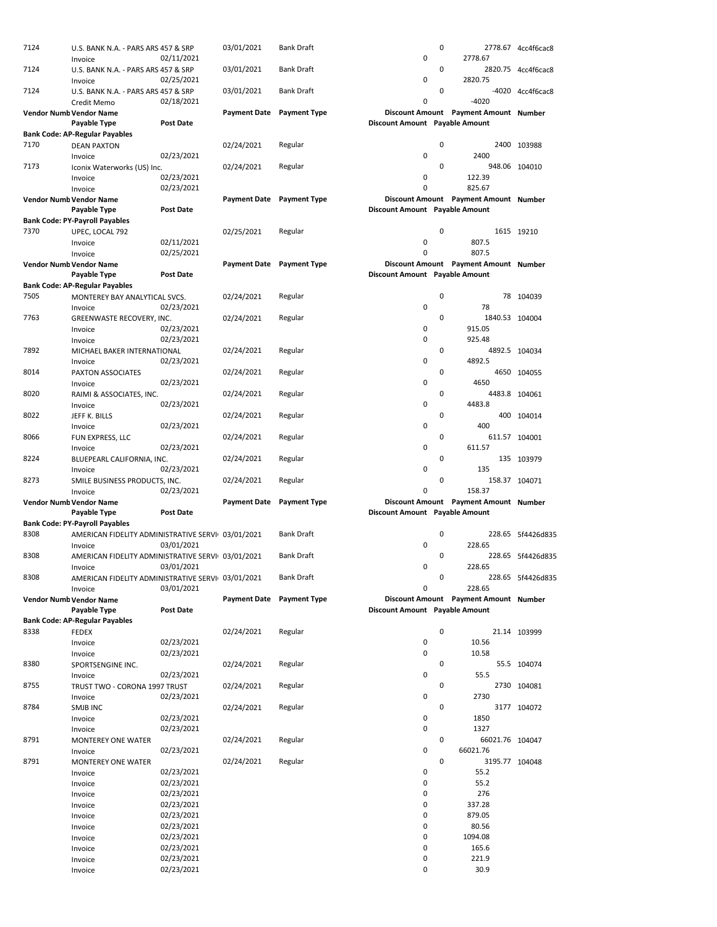| 7124 | U.S. BANK N.A. - PARS ARS 457 & SRP               |                          | 03/01/2021          | <b>Bank Draft</b>   |                                | 0 |                                       | 2778.67 4cc4f6cac8 |
|------|---------------------------------------------------|--------------------------|---------------------|---------------------|--------------------------------|---|---------------------------------------|--------------------|
|      | Invoice                                           | 02/11/2021               |                     |                     | 0                              |   | 2778.67                               |                    |
| 7124 | U.S. BANK N.A. - PARS ARS 457 & SRP               |                          | 03/01/2021          | <b>Bank Draft</b>   |                                | 0 |                                       | 2820.75 4cc4f6cac8 |
|      | Invoice                                           | 02/25/2021               |                     |                     | 0                              |   | 2820.75                               |                    |
| 7124 | U.S. BANK N.A. - PARS ARS 457 & SRP               |                          | 03/01/2021          | <b>Bank Draft</b>   |                                | 0 |                                       | -4020 4cc4f6cac8   |
|      | Credit Memo                                       | 02/18/2021               |                     |                     | 0                              |   | $-4020$                               |                    |
|      | Vendor Numb Vendor Name                           |                          | <b>Payment Date</b> | <b>Payment Type</b> |                                |   | Discount Amount Payment Amount Number |                    |
|      | Payable Type                                      | Post Date                |                     |                     | Discount Amount Payable Amount |   |                                       |                    |
|      | Bank Code: AP-Regular Payables                    |                          |                     |                     |                                |   |                                       |                    |
| 7170 | <b>DEAN PAXTON</b>                                |                          | 02/24/2021          | Regular             |                                | 0 |                                       | 2400 103988        |
|      | Invoice                                           | 02/23/2021               |                     |                     | 0                              |   | 2400                                  |                    |
| 7173 |                                                   |                          | 02/24/2021          | Regular             |                                | 0 |                                       | 948.06 104010      |
|      | Iconix Waterworks (US) Inc.                       | 02/23/2021               |                     |                     | 0                              |   | 122.39                                |                    |
|      | Invoice                                           |                          |                     |                     | 0                              |   | 825.67                                |                    |
|      | Invoice                                           | 02/23/2021               |                     |                     |                                |   |                                       |                    |
|      | Vendor Numb Vendor Name                           |                          | <b>Payment Date</b> | <b>Payment Type</b> |                                |   | Discount Amount Payment Amount Number |                    |
|      | Payable Type                                      | Post Date                |                     |                     | Discount Amount Payable Amount |   |                                       |                    |
|      | Bank Code: PY-Payroll Payables                    |                          |                     |                     |                                |   |                                       |                    |
| 7370 | UPEC, LOCAL 792                                   |                          | 02/25/2021          | Regular             |                                | 0 |                                       | 1615 19210         |
|      | Invoice                                           | 02/11/2021               |                     |                     | 0                              |   | 807.5                                 |                    |
|      | Invoice                                           | 02/25/2021               |                     |                     | 0                              |   | 807.5                                 |                    |
|      | Vendor Numb Vendor Name                           |                          | <b>Payment Date</b> | <b>Payment Type</b> |                                |   | Discount Amount Payment Amount Number |                    |
|      | Payable Type                                      | Post Date                |                     |                     | Discount Amount Payable Amount |   |                                       |                    |
|      | Bank Code: AP-Regular Payables                    |                          |                     |                     |                                |   |                                       |                    |
| 7505 | MONTEREY BAY ANALYTICAL SVCS.                     |                          | 02/24/2021          | Regular             |                                | 0 |                                       | 78 104039          |
|      | Invoice                                           | 02/23/2021               |                     |                     | 0                              |   | 78                                    |                    |
| 7763 | <b>GREENWASTE RECOVERY, INC.</b>                  |                          | 02/24/2021          | Regular             |                                | 0 | 1840.53 104004                        |                    |
|      | Invoice                                           | 02/23/2021               |                     |                     | 0                              |   | 915.05                                |                    |
|      | Invoice                                           | 02/23/2021               |                     |                     | 0                              |   | 925.48                                |                    |
| 7892 | MICHAEL BAKER INTERNATIONAL                       |                          | 02/24/2021          | Regular             |                                | 0 |                                       | 4892.5 104034      |
|      | Invoice                                           | 02/23/2021               |                     |                     | 0                              |   | 4892.5                                |                    |
| 8014 | PAXTON ASSOCIATES                                 |                          | 02/24/2021          | Regular             |                                | 0 |                                       | 4650 104055        |
|      | Invoice                                           | 02/23/2021               |                     |                     | 0                              |   | 4650                                  |                    |
| 8020 | RAIMI & ASSOCIATES, INC.                          |                          | 02/24/2021          | Regular             |                                | 0 |                                       | 4483.8 104061      |
|      | Invoice                                           | 02/23/2021               |                     |                     | 0                              |   | 4483.8                                |                    |
| 8022 | JEFF K. BILLS                                     |                          | 02/24/2021          | Regular             |                                | 0 |                                       | 400 104014         |
|      |                                                   | 02/23/2021               |                     |                     | 0                              |   | 400                                   |                    |
|      | Invoice                                           |                          |                     |                     |                                | 0 |                                       |                    |
| 8066 | FUN EXPRESS, LLC                                  |                          | 02/24/2021          | Regular             | 0                              |   |                                       | 611.57 104001      |
|      | Invoice                                           | 02/23/2021               |                     |                     |                                |   | 611.57                                |                    |
|      |                                                   |                          |                     |                     |                                |   |                                       |                    |
| 8224 | BLUEPEARL CALIFORNIA, INC.                        |                          | 02/24/2021          | Regular             |                                | 0 |                                       | 135 103979         |
|      | Invoice                                           | 02/23/2021               |                     |                     | 0                              |   | 135                                   |                    |
| 8273 | SMILE BUSINESS PRODUCTS, INC.                     |                          | 02/24/2021          | Regular             |                                | 0 |                                       | 158.37 104071      |
|      | Invoice                                           | 02/23/2021               |                     |                     | 0                              |   | 158.37                                |                    |
|      | Vendor Numb Vendor Name                           |                          | <b>Payment Date</b> | <b>Payment Type</b> |                                |   | Discount Amount Payment Amount Number |                    |
|      | Payable Type                                      | <b>Post Date</b>         |                     |                     | Discount Amount Payable Amount |   |                                       |                    |
|      | Bank Code: PY-Payroll Payables                    |                          |                     |                     |                                |   |                                       |                    |
| 8308 | AMERICAN FIDELITY ADMINISTRATIVE SERVI 03/01/2021 |                          |                     | <b>Bank Draft</b>   |                                | 0 |                                       | 228.65 5f4426d835  |
|      | Invoice                                           | 03/01/2021               |                     |                     | 0                              |   | 228.65                                |                    |
| 8308 | AMERICAN FIDELITY ADMINISTRATIVE SERVI 03/01/2021 |                          |                     | <b>Bank Draft</b>   |                                | 0 |                                       | 228.65 5f4426d835  |
|      | Invoice                                           | 03/01/2021               |                     |                     | 0                              |   | 228.65                                |                    |
| 8308 | AMERICAN FIDELITY ADMINISTRATIVE SERVI 03/01/2021 |                          |                     | <b>Bank Draft</b>   |                                | 0 |                                       | 228.65 5f4426d835  |
|      | Invoice                                           | 03/01/2021               |                     |                     | 0                              |   | 228.65                                |                    |
|      | Vendor Numb Vendor Name                           |                          | <b>Payment Date</b> | <b>Payment Type</b> |                                |   | Discount Amount Payment Amount Number |                    |
|      | Payable Type                                      | Post Date                |                     |                     | Discount Amount Payable Amount |   |                                       |                    |
|      | <b>Bank Code: AP-Regular Payables</b>             |                          |                     |                     |                                |   |                                       |                    |
| 8338 | <b>FEDEX</b>                                      |                          | 02/24/2021          | Regular             |                                | 0 |                                       | 21.14 103999       |
|      |                                                   | 02/23/2021               |                     |                     | 0                              |   | 10.56                                 |                    |
|      | Invoice                                           |                          |                     |                     | 0                              |   |                                       |                    |
|      | Invoice                                           | 02/23/2021               |                     |                     |                                |   | 10.58                                 |                    |
| 8380 | SPORTSENGINE INC.                                 |                          | 02/24/2021          | Regular             |                                | 0 |                                       | 55.5 104074        |
|      | Invoice                                           | 02/23/2021               |                     |                     | 0                              |   | 55.5                                  |                    |
| 8755 | TRUST TWO - CORONA 1997 TRUST                     |                          | 02/24/2021          | Regular             |                                | 0 |                                       | 2730 104081        |
|      | Invoice                                           | 02/23/2021               |                     |                     | 0                              |   | 2730                                  |                    |
| 8784 | SMJB INC                                          |                          | 02/24/2021          | Regular             |                                | 0 |                                       | 3177 104072        |
|      | Invoice                                           | 02/23/2021               |                     |                     | 0                              |   | 1850                                  |                    |
|      | Invoice                                           | 02/23/2021               |                     |                     | 0                              |   | 1327                                  |                    |
| 8791 | MONTEREY ONE WATER                                |                          | 02/24/2021          | Regular             |                                | 0 | 66021.76 104047                       |                    |
|      | Invoice                                           | 02/23/2021               |                     |                     | 0                              |   | 66021.76                              |                    |
| 8791 | MONTEREY ONE WATER                                |                          | 02/24/2021          | Regular             |                                | 0 | 3195.77 104048                        |                    |
|      | Invoice                                           | 02/23/2021               |                     |                     | 0                              |   | 55.2                                  |                    |
|      | Invoice                                           | 02/23/2021               |                     |                     | 0                              |   | 55.2                                  |                    |
|      | Invoice                                           | 02/23/2021               |                     |                     | 0                              |   | 276                                   |                    |
|      | Invoice                                           | 02/23/2021               |                     |                     | 0                              |   | 337.28                                |                    |
|      | Invoice                                           | 02/23/2021               |                     |                     | 0                              |   | 879.05                                |                    |
|      | Invoice                                           | 02/23/2021               |                     |                     | 0                              |   | 80.56                                 |                    |
|      | Invoice                                           | 02/23/2021               |                     |                     | 0                              |   | 1094.08                               |                    |
|      | Invoice                                           | 02/23/2021               |                     |                     | 0                              |   | 165.6                                 |                    |
|      | Invoice<br>Invoice                                | 02/23/2021<br>02/23/2021 |                     |                     | 0<br>0                         |   | 221.9<br>30.9                         |                    |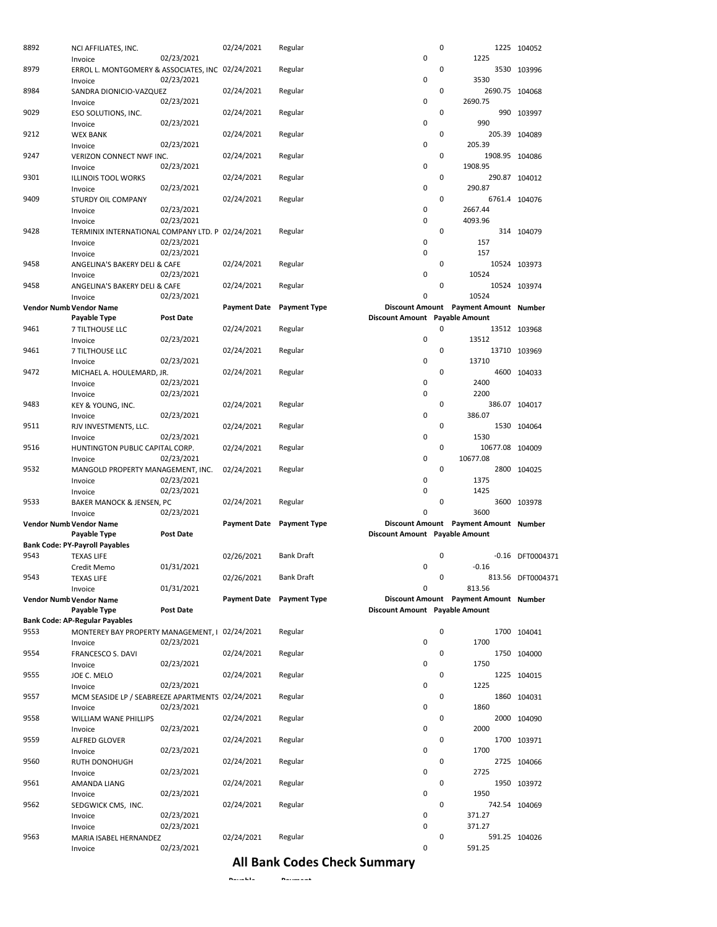| 8892 | NCI AFFILIATES, INC.                                                                    |                          | 02/24/2021          | Regular             |                                | 0 |                                                 | 1225 104052       |
|------|-----------------------------------------------------------------------------------------|--------------------------|---------------------|---------------------|--------------------------------|---|-------------------------------------------------|-------------------|
| 8979 | Invoice<br>ERROL L. MONTGOMERY & ASSOCIATES, INC 02/24/2021                             | 02/23/2021               |                     | Regular             | 0                              | 0 | 1225                                            | 3530 103996       |
|      | Invoice                                                                                 | 02/23/2021               |                     |                     | 0                              |   | 3530                                            |                   |
| 8984 | SANDRA DIONICIO-VAZQUEZ<br>Invoice                                                      | 02/23/2021               | 02/24/2021          | Regular             | 0                              | 0 | 2690.75 104068<br>2690.75                       |                   |
| 9029 | ESO SOLUTIONS, INC.                                                                     |                          | 02/24/2021          | Regular             |                                | 0 |                                                 | 990 103997        |
| 9212 | Invoice<br><b>WEX BANK</b>                                                              | 02/23/2021               | 02/24/2021          |                     | 0                              | 0 | 990<br>205.39 104089                            |                   |
|      | Invoice                                                                                 | 02/23/2021               |                     | Regular             | 0                              |   | 205.39                                          |                   |
| 9247 | VERIZON CONNECT NWF INC.<br>Invoice                                                     | 02/23/2021               | 02/24/2021          | Regular             | $\mathbf 0$                    | 0 | 1908.95 104086<br>1908.95                       |                   |
| 9301 | <b>ILLINOIS TOOL WORKS</b>                                                              |                          | 02/24/2021          | Regular             |                                | 0 |                                                 | 290.87 104012     |
|      | Invoice                                                                                 | 02/23/2021               |                     |                     | 0                              |   | 290.87                                          |                   |
| 9409 | <b>STURDY OIL COMPANY</b><br>Invoice                                                    | 02/23/2021               | 02/24/2021          | Regular             | 0                              | 0 | 6761.4 104076<br>2667.44                        |                   |
|      | Invoice                                                                                 | 02/23/2021               |                     |                     | $\mathbf 0$                    |   | 4093.96                                         |                   |
| 9428 | TERMINIX INTERNATIONAL COMPANY LTD. P 02/24/2021<br>Invoice                             | 02/23/2021               |                     | Regular             | 0                              | 0 | 157                                             | 314 104079        |
|      | Invoice                                                                                 | 02/23/2021               |                     |                     | $\mathbf 0$                    |   | 157                                             |                   |
| 9458 | ANGELINA'S BAKERY DELI & CAFE<br>Invoice                                                | 02/23/2021               | 02/24/2021          | Regular             | 0                              | 0 | 10524                                           | 10524 103973      |
| 9458 | ANGELINA'S BAKERY DELI & CAFE                                                           |                          | 02/24/2021          | Regular             |                                | 0 |                                                 | 10524 103974      |
|      | Invoice                                                                                 | 02/23/2021               | <b>Payment Date</b> |                     | 0                              |   | 10524                                           |                   |
|      | Vendor Numb Vendor Name<br>Payable Type                                                 | Post Date                |                     | <b>Payment Type</b> | Discount Amount Payable Amount |   | Discount Amount Payment Amount Number           |                   |
| 9461 | 7 TILTHOUSE LLC                                                                         |                          | 02/24/2021          | Regular             |                                | 0 |                                                 | 13512 103968      |
| 9461 | Invoice<br>7 TILTHOUSE LLC                                                              | 02/23/2021               | 02/24/2021          | Regular             | 0                              | 0 | 13512                                           | 13710 103969      |
|      | Invoice                                                                                 | 02/23/2021               |                     |                     | $\mathbf 0$                    |   | 13710                                           |                   |
| 9472 | MICHAEL A. HOULEMARD, JR.                                                               |                          | 02/24/2021          | Regular             |                                | 0 |                                                 | 4600 104033       |
|      | Invoice<br>Invoice                                                                      | 02/23/2021<br>02/23/2021 |                     |                     | 0<br>$\mathbf 0$               |   | 2400<br>2200                                    |                   |
| 9483 | KEY & YOUNG, INC.                                                                       |                          | 02/24/2021          | Regular             |                                | 0 | 386.07 104017                                   |                   |
|      | Invoice                                                                                 | 02/23/2021               |                     |                     | 0                              | 0 | 386.07                                          |                   |
| 9511 | RJV INVESTMENTS, LLC.<br>Invoice                                                        | 02/23/2021               | 02/24/2021          | Regular             | 0                              |   | 1530                                            | 1530 104064       |
| 9516 | HUNTINGTON PUBLIC CAPITAL CORP.                                                         |                          | 02/24/2021          | Regular             |                                | 0 | 10677.08 104009                                 |                   |
|      |                                                                                         |                          |                     |                     |                                |   |                                                 |                   |
|      | Invoice                                                                                 | 02/23/2021               |                     |                     | 0                              |   | 10677.08                                        |                   |
| 9532 | MANGOLD PROPERTY MANAGEMENT, INC.<br>Invoice                                            | 02/23/2021               | 02/24/2021          | Regular             | 0                              | 0 | 1375                                            | 2800 104025       |
|      | Invoice                                                                                 | 02/23/2021               |                     |                     | 0                              |   | 1425                                            |                   |
| 9533 | BAKER MANOCK & JENSEN, PC<br>Invoice                                                    | 02/23/2021               | 02/24/2021          | Regular             | 0                              | 0 | 3600                                            | 3600 103978       |
|      | Vendor Numb Vendor Name                                                                 |                          | <b>Payment Date</b> | <b>Payment Type</b> |                                |   | Discount Amount Payment Amount Number           |                   |
|      | Payable Type                                                                            | Post Date                |                     |                     | Discount Amount Payable Amount |   |                                                 |                   |
| 9543 | <b>Bank Code: PY-Payroll Payables</b><br><b>TEXAS LIFE</b>                              |                          | 02/26/2021          | <b>Bank Draft</b>   |                                | 0 |                                                 | -0.16 DFT0004371  |
|      | Credit Memo                                                                             | 01/31/2021               |                     |                     | 0                              |   | $-0.16$                                         |                   |
| 9543 | <b>TEXAS LIFE</b>                                                                       |                          | 02/26/2021          | <b>Bank Draft</b>   | 0                              | 0 |                                                 | 813.56 DFT0004371 |
|      | Invoice<br>Vendor Numb Vendor Name                                                      | 01/31/2021               | <b>Payment Date</b> | <b>Payment Type</b> |                                |   | 813.56<br>Discount Amount Payment Amount Number |                   |
|      | Payable Type                                                                            | Post Date                |                     |                     | Discount Amount Payable Amount |   |                                                 |                   |
| 9553 | <b>Bank Code: AP-Regular Payables</b><br>MONTEREY BAY PROPERTY MANAGEMENT, I 02/24/2021 |                          |                     | Regular             |                                | 0 |                                                 | 1700 104041       |
|      | Invoice                                                                                 | 02/23/2021               |                     |                     | 0                              |   | 1700                                            |                   |
| 9554 | FRANCESCO S. DAVI                                                                       |                          | 02/24/2021          | Regular             |                                | 0 |                                                 | 1750 104000       |
| 9555 | Invoice<br>JOE C. MELO                                                                  | 02/23/2021               | 02/24/2021          | Regular             | 0                              | 0 | 1750                                            | 1225 104015       |
|      | Invoice                                                                                 | 02/23/2021               |                     |                     | 0                              |   | 1225                                            |                   |
| 9557 | MCM SEASIDE LP / SEABREEZE APARTMENTS 02/24/2021<br>Invoice                             | 02/23/2021               |                     | Regular             | 0                              | 0 | 1860                                            | 1860 104031       |
| 9558 | WILLIAM WANE PHILLIPS                                                                   |                          | 02/24/2021          | Regular             |                                | 0 |                                                 | 2000 104090       |
|      | Invoice                                                                                 | 02/23/2021               |                     |                     | 0                              |   | 2000                                            |                   |
| 9559 | ALFRED GLOVER<br>Invoice                                                                | 02/23/2021               | 02/24/2021          | Regular             | 0                              | 0 | 1700                                            | 1700 103971       |
| 9560 | RUTH DONOHUGH                                                                           |                          | 02/24/2021          | Regular             |                                | 0 |                                                 | 2725 104066       |
| 9561 | Invoice                                                                                 | 02/23/2021               | 02/24/2021          | Regular             | 0                              | 0 | 2725                                            | 1950 103972       |
|      | AMANDA LIANG<br>Invoice                                                                 | 02/23/2021               |                     |                     | 0                              |   | 1950                                            |                   |
| 9562 | SEDGWICK CMS, INC.                                                                      |                          | 02/24/2021          | Regular             |                                | 0 |                                                 | 742.54 104069     |
|      | Invoice<br>Invoice                                                                      | 02/23/2021<br>02/23/2021 |                     |                     | 0<br>0                         |   | 371.27<br>371.27                                |                   |
| 9563 | MARIA ISABEL HERNANDEZ<br>Invoice                                                       | 02/23/2021               | 02/24/2021          | Regular             | 0                              | 0 | 591.25                                          | 591.25 104026     |

## All Bank Codes Check Summary

Payable Payment